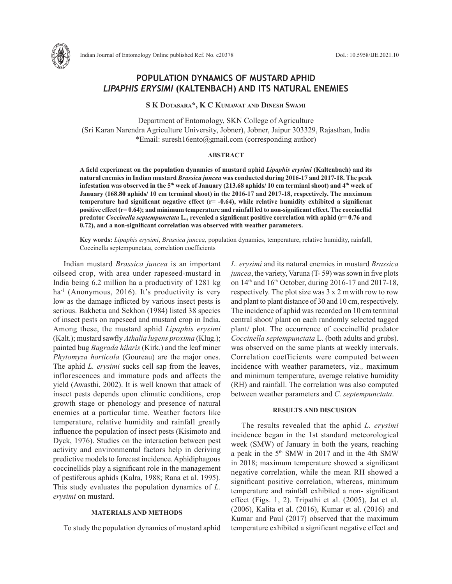

# **POPULATION DYNAMICS OF MUSTARD APHID**  *LIPAPHIS ERYSIMI* **(KALTENBACH) AND ITS NATURAL ENEMIES**

**S K Dotasara\*, K C Kumawat and Dinesh Swami**

Department of Entomology, SKN College of Agriculture (Sri Karan Narendra Agriculture University, Jobner), Jobner, Jaipur 303329, Rajasthan, India \*Email: suresh16ento@gmail.com (corresponding author)

#### **ABSTRACT**

**A field experiment on the population dynamics of mustard aphid** *Lipaphis erysimi* **(Kaltenbach) and its natural enemies in Indian mustard** *Brassica juncea* **was conducted during 2016-17 and 2017-18. The peak infestation was observed in the 5th week of January (213.68 aphids/ 10 cm terminal shoot) and 4th week of January (168.80 aphids/ 10 cm terminal shoot) in the 2016-17 and 2017-18, respectively. The maximum temperature had significant negative effect (r= -0.64), while relative humidity exhibited a significant positive effect (r= 0.64); and minimum temperature and rainfall led to non-significant effect. The coccinellid predator** *Coccinella septempunctata* **L., revealed a significant positive correlation with aphid (r= 0.76 and 0.72), and a non-significant correlation was observed with weather parameters.**

**Key words:** *Lipaphis erysimi*, *Brassica juncea*, population dynamics, temperature, relative humidity, rainfall, Coccinella septempunctata, correlation coefficients

Indian mustard *Brassica juncea* is an important oilseed crop, with area under rapeseed-mustard in India being 6.2 million ha a productivity of 1281 kg ha<sup>-1</sup> (Anonymous, 2016). It's productivity is very low as the damage inflicted by various insect pests is serious. Bakhetia and Sekhon (1984) listed 38 species of insect pests on rapeseed and mustard crop in India. Among these, the mustard aphid *Lipaphis erysimi* (Kalt.); mustard sawfly *Athalia lugens proxima* (Klug.); painted bug *Bagrada hilaris* (Kirk.) and the leaf miner *Phytomyza horticola* (Goureau) are the major ones. The aphid *L. erysimi* sucks cell sap from the leaves, inflorescences and immature pods and affects the yield (Awasthi, 2002). It is well known that attack of insect pests depends upon climatic conditions, crop growth stage or phenology and presence of natural enemies at a particular time. Weather factors like temperature, relative humidity and rainfall greatly influence the population of insect pests (Kisimoto and Dyck, 1976). Studies on the interaction between pest activity and environmental factors help in deriving predictive models to forecast incidence. Aphidiphagous coccinellids play a significant role in the management of pestiferous aphids (Kalra, 1988; Rana et al. 1995)*.* This study evaluates the population dynamics of *L. erysimi* on mustard.

## **MATERIALS AND METHODS**

To study the population dynamics of mustard aphid

*L. erysimi* and its natural enemies in mustard *Brassica juncea*, the variety, Varuna (T- 59) was sown in five plots on  $14<sup>th</sup>$  and  $16<sup>th</sup>$  October, during 2016-17 and 2017-18, respectively. The plot size was 3 x 2 mwith row to row and plant to plant distance of 30 and 10 cm, respectively. The incidence of aphid was recorded on 10 cm terminal central shoot/ plant on each randomly selected tagged plant/ plot. The occurrence of coccinellid predator *Coccinella septempunctata* L. (both adults and grubs). was observed on the same plants at weekly intervals. Correlation coefficients were computed between incidence with weather parameters, viz*.,* maximum and minimum temperature, average relative humidity (RH) and rainfall. The correlation was also computed between weather parameters and *C. septempunctata*.

### **RESULTS AND DISCUSION**

The results revealed that the aphid *L. erysimi* incidence began in the 1st standard meteorological week (SMW) of January in both the years, reaching a peak in the  $5<sup>th</sup>$  SMW in 2017 and in the 4th SMW in 2018; maximum temperature showed a significant negative correlation, while the mean RH showed a significant positive correlation, whereas, minimum temperature and rainfall exhibited a non- significant effect (Figs. 1, 2). Tripathi et al. (2005), Jat et al. (2006), Kalita et al. (2016), Kumar et al. (2016) and Kumar and Paul (2017) observed that the maximum temperature exhibited a significant negative effect and